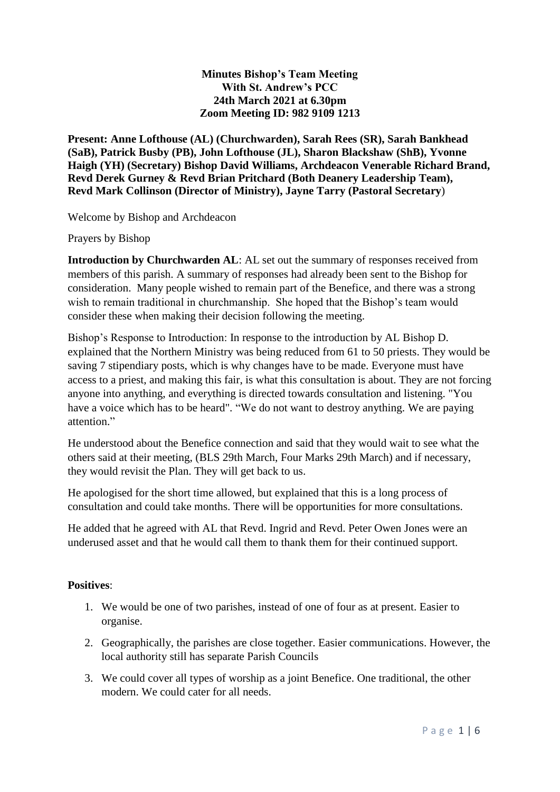## **Minutes Bishop's Team Meeting With St. Andrew's PCC 24th March 2021 at 6.30pm Zoom Meeting ID: 982 9109 1213**

**Present: Anne Lofthouse (AL) (Churchwarden), Sarah Rees (SR), Sarah Bankhead (SaB), Patrick Busby (PB), John Lofthouse (JL), Sharon Blackshaw (ShB), Yvonne Haigh (YH) (Secretary) Bishop David Williams, Archdeacon Venerable Richard Brand, Revd Derek Gurney & Revd Brian Pritchard (Both Deanery Leadership Team), Revd Mark Collinson (Director of Ministry), Jayne Tarry (Pastoral Secretary**)

Welcome by Bishop and Archdeacon

Prayers by Bishop

**Introduction by Churchwarden AL**: AL set out the summary of responses received from members of this parish. A summary of responses had already been sent to the Bishop for consideration. Many people wished to remain part of the Benefice, and there was a strong wish to remain traditional in churchmanship. She hoped that the Bishop's team would consider these when making their decision following the meeting.

Bishop's Response to Introduction: In response to the introduction by AL Bishop D. explained that the Northern Ministry was being reduced from 61 to 50 priests. They would be saving 7 stipendiary posts, which is why changes have to be made. Everyone must have access to a priest, and making this fair, is what this consultation is about. They are not forcing anyone into anything, and everything is directed towards consultation and listening. "You have a voice which has to be heard". "We do not want to destroy anything. We are paying attention."

He understood about the Benefice connection and said that they would wait to see what the others said at their meeting, (BLS 29th March, Four Marks 29th March) and if necessary, they would revisit the Plan. They will get back to us.

He apologised for the short time allowed, but explained that this is a long process of consultation and could take months. There will be opportunities for more consultations.

He added that he agreed with AL that Revd. Ingrid and Revd. Peter Owen Jones were an underused asset and that he would call them to thank them for their continued support.

# **Positives**:

- 1. We would be one of two parishes, instead of one of four as at present. Easier to organise.
- 2. Geographically, the parishes are close together. Easier communications. However, the local authority still has separate Parish Councils
- 3. We could cover all types of worship as a joint Benefice. One traditional, the other modern. We could cater for all needs.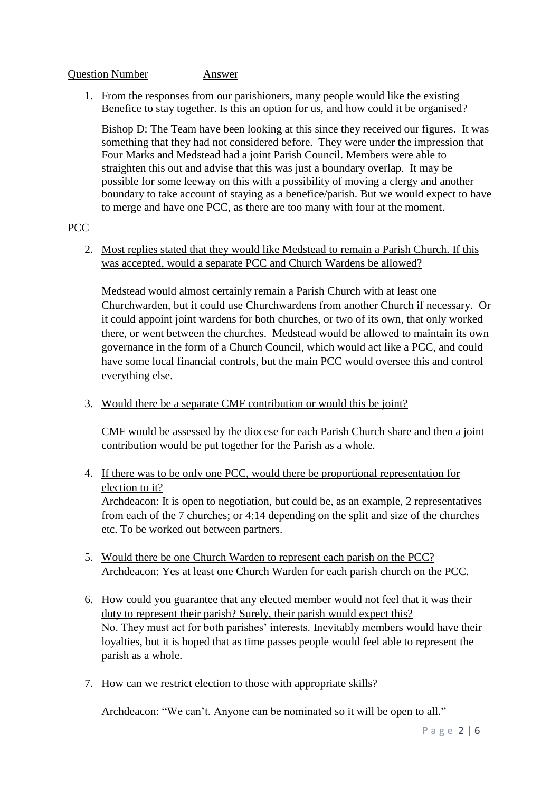#### Question Number Answer

## 1. From the responses from our parishioners, many people would like the existing Benefice to stay together. Is this an option for us, and how could it be organised?

Bishop D: The Team have been looking at this since they received our figures. It was something that they had not considered before. They were under the impression that Four Marks and Medstead had a joint Parish Council. Members were able to straighten this out and advise that this was just a boundary overlap. It may be possible for some leeway on this with a possibility of moving a clergy and another boundary to take account of staying as a benefice/parish. But we would expect to have to merge and have one PCC, as there are too many with four at the moment.

# PCC

2. Most replies stated that they would like Medstead to remain a Parish Church. If this was accepted, would a separate PCC and Church Wardens be allowed?

Medstead would almost certainly remain a Parish Church with at least one Churchwarden, but it could use Churchwardens from another Church if necessary. Or it could appoint joint wardens for both churches, or two of its own, that only worked there, or went between the churches. Medstead would be allowed to maintain its own governance in the form of a Church Council, which would act like a PCC, and could have some local financial controls, but the main PCC would oversee this and control everything else.

3. Would there be a separate CMF contribution or would this be joint?

CMF would be assessed by the diocese for each Parish Church share and then a joint contribution would be put together for the Parish as a whole.

4. If there was to be only one PCC, would there be proportional representation for election to it?

Archdeacon: It is open to negotiation, but could be, as an example, 2 representatives from each of the 7 churches; or 4:14 depending on the split and size of the churches etc. To be worked out between partners.

- 5. Would there be one Church Warden to represent each parish on the PCC? Archdeacon: Yes at least one Church Warden for each parish church on the PCC.
- 6. How could you guarantee that any elected member would not feel that it was their duty to represent their parish? Surely, their parish would expect this? No. They must act for both parishes' interests. Inevitably members would have their loyalties, but it is hoped that as time passes people would feel able to represent the parish as a whole.
- 7. How can we restrict election to those with appropriate skills?

Archdeacon: "We can't. Anyone can be nominated so it will be open to all."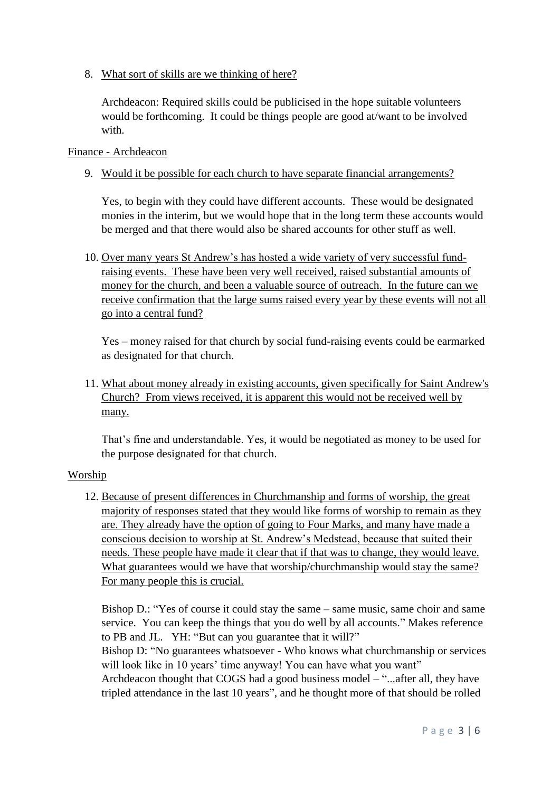8. What sort of skills are we thinking of here?

Archdeacon: Required skills could be publicised in the hope suitable volunteers would be forthcoming. It could be things people are good at/want to be involved with.

### Finance - Archdeacon

9. Would it be possible for each church to have separate financial arrangements?

Yes, to begin with they could have different accounts. These would be designated monies in the interim, but we would hope that in the long term these accounts would be merged and that there would also be shared accounts for other stuff as well.

10. Over many years St Andrew's has hosted a wide variety of very successful fundraising events. These have been very well received, raised substantial amounts of money for the church, and been a valuable source of outreach. In the future can we receive confirmation that the large sums raised every year by these events will not all go into a central fund?

Yes – money raised for that church by social fund-raising events could be earmarked as designated for that church.

11. What about money already in existing accounts, given specifically for Saint Andrew's Church? From views received, it is apparent this would not be received well by many.

That's fine and understandable. Yes, it would be negotiated as money to be used for the purpose designated for that church.

### Worship

12. Because of present differences in Churchmanship and forms of worship, the great majority of responses stated that they would like forms of worship to remain as they are. They already have the option of going to Four Marks, and many have made a conscious decision to worship at St. Andrew's Medstead, because that suited their needs. These people have made it clear that if that was to change, they would leave. What guarantees would we have that worship/churchmanship would stay the same? For many people this is crucial.

Bishop D.: "Yes of course it could stay the same – same music, same choir and same service. You can keep the things that you do well by all accounts." Makes reference to PB and JL. YH: "But can you guarantee that it will?"

Bishop D: "No guarantees whatsoever - Who knows what churchmanship or services will look like in 10 years' time anyway! You can have what you want"

Archdeacon thought that COGS had a good business model – "...after all, they have tripled attendance in the last 10 years", and he thought more of that should be rolled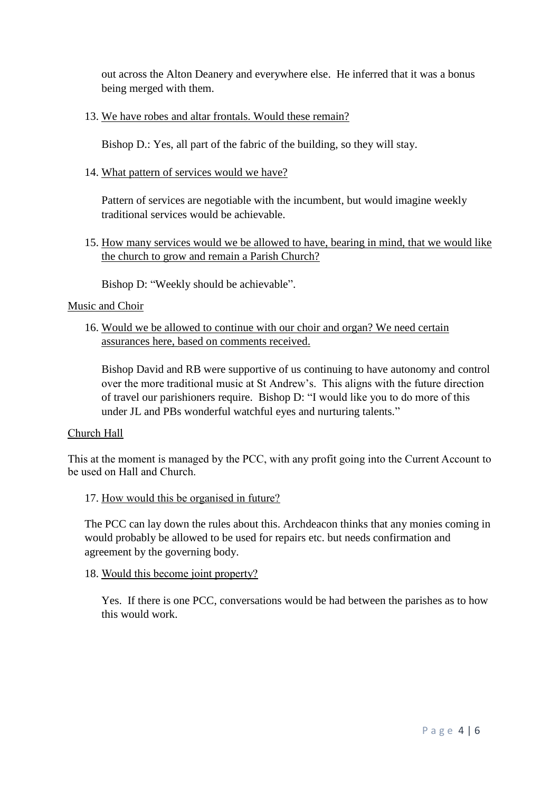out across the Alton Deanery and everywhere else. He inferred that it was a bonus being merged with them.

## 13. We have robes and altar frontals. Would these remain?

Bishop D.: Yes, all part of the fabric of the building, so they will stay.

# 14. What pattern of services would we have?

Pattern of services are negotiable with the incumbent, but would imagine weekly traditional services would be achievable.

15. How many services would we be allowed to have, bearing in mind, that we would like the church to grow and remain a Parish Church?

Bishop D: "Weekly should be achievable".

### Music and Choir

16. Would we be allowed to continue with our choir and organ? We need certain assurances here, based on comments received.

Bishop David and RB were supportive of us continuing to have autonomy and control over the more traditional music at St Andrew's. This aligns with the future direction of travel our parishioners require. Bishop D: "I would like you to do more of this under JL and PBs wonderful watchful eyes and nurturing talents."

### Church Hall

This at the moment is managed by the PCC, with any profit going into the Current Account to be used on Hall and Church.

17. How would this be organised in future?

The PCC can lay down the rules about this. Archdeacon thinks that any monies coming in would probably be allowed to be used for repairs etc. but needs confirmation and agreement by the governing body.

# 18. Would this become joint property?

Yes. If there is one PCC, conversations would be had between the parishes as to how this would work.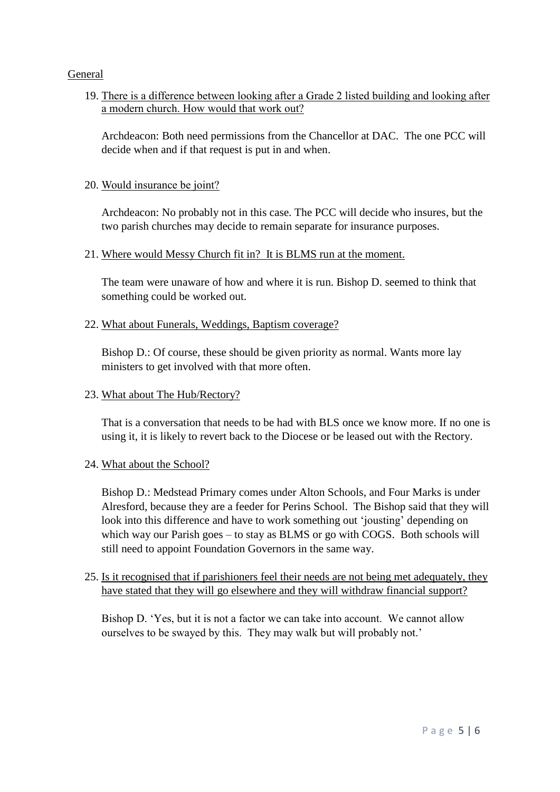## General

19. There is a difference between looking after a Grade 2 listed building and looking after a modern church. How would that work out?

Archdeacon: Both need permissions from the Chancellor at DAC. The one PCC will decide when and if that request is put in and when.

## 20. Would insurance be joint?

Archdeacon: No probably not in this case. The PCC will decide who insures, but the two parish churches may decide to remain separate for insurance purposes.

## 21. Where would Messy Church fit in? It is BLMS run at the moment.

The team were unaware of how and where it is run. Bishop D. seemed to think that something could be worked out.

## 22. What about Funerals, Weddings, Baptism coverage?

Bishop D.: Of course, these should be given priority as normal. Wants more lay ministers to get involved with that more often.

## 23. What about The Hub/Rectory?

That is a conversation that needs to be had with BLS once we know more. If no one is using it, it is likely to revert back to the Diocese or be leased out with the Rectory.

### 24. What about the School?

Bishop D.: Medstead Primary comes under Alton Schools, and Four Marks is under Alresford, because they are a feeder for Perins School. The Bishop said that they will look into this difference and have to work something out 'jousting' depending on which way our Parish goes – to stay as BLMS or go with COGS. Both schools will still need to appoint Foundation Governors in the same way.

# 25. Is it recognised that if parishioners feel their needs are not being met adequately, they have stated that they will go elsewhere and they will withdraw financial support?

Bishop D. 'Yes, but it is not a factor we can take into account. We cannot allow ourselves to be swayed by this. They may walk but will probably not.'